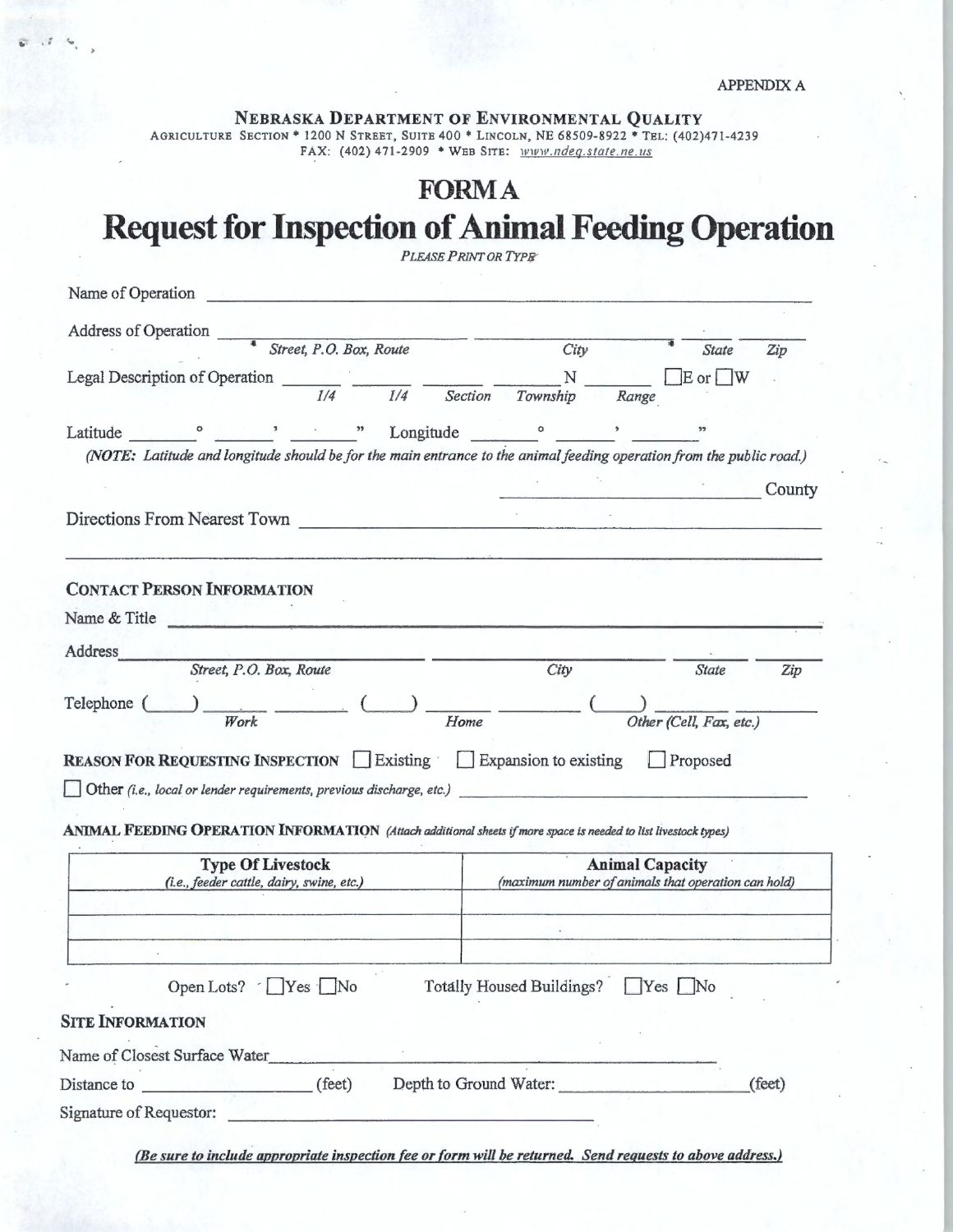NEBRASKA DEPARTMENT OF ENVIRONMENTAL QUALITY<br>AGRICULTURE SECTION \* 1200 N STREET, SUITE 400 \* LINCOLN, NE 68509-8922 \* TEL: (402)471-4239 FAX: (402) 471-2909 \* WEB SITE:  $\n *www.ndeg.state.ne.us*\n$ 

## **FORMA**

## **Request for Inspection of Animal Feeding Operation**

|                                                                                                                                                                                                                                                                                                                                                                                                                                                           | <b>PLEASE PRINT OR TYPE</b>      |                                                     |
|-----------------------------------------------------------------------------------------------------------------------------------------------------------------------------------------------------------------------------------------------------------------------------------------------------------------------------------------------------------------------------------------------------------------------------------------------------------|----------------------------------|-----------------------------------------------------|
| Name of Operation<br><u> 1980 - Andrea Statistica de Villa III, mai al III e populari de la provincia de la provincia de la provincia </u>                                                                                                                                                                                                                                                                                                                |                                  |                                                     |
| Address of Operation                                                                                                                                                                                                                                                                                                                                                                                                                                      |                                  |                                                     |
| $\overline{\text{~$Street, P.O. Box, Route}}$                                                                                                                                                                                                                                                                                                                                                                                                             | City                             | <b>State</b><br>Zip                                 |
| Legal Description of Operation $\frac{N}{1/4}$ $\frac{N}{1/4}$ $\frac{N}{Section}$                                                                                                                                                                                                                                                                                                                                                                        |                                  | $E$ or $\vert$ W                                    |
|                                                                                                                                                                                                                                                                                                                                                                                                                                                           | Range                            |                                                     |
|                                                                                                                                                                                                                                                                                                                                                                                                                                                           |                                  |                                                     |
| (NOTE: Latitude and longitude should be for the main entrance to the animal feeding operation from the public road.)                                                                                                                                                                                                                                                                                                                                      |                                  |                                                     |
|                                                                                                                                                                                                                                                                                                                                                                                                                                                           |                                  | County                                              |
|                                                                                                                                                                                                                                                                                                                                                                                                                                                           |                                  |                                                     |
| Directions From Nearest Town                                                                                                                                                                                                                                                                                                                                                                                                                              |                                  |                                                     |
|                                                                                                                                                                                                                                                                                                                                                                                                                                                           |                                  |                                                     |
| <b>CONTACT PERSON INFORMATION</b>                                                                                                                                                                                                                                                                                                                                                                                                                         |                                  |                                                     |
| Name & Title                                                                                                                                                                                                                                                                                                                                                                                                                                              |                                  |                                                     |
| Address<br>the control of the control                                                                                                                                                                                                                                                                                                                                                                                                                     |                                  |                                                     |
| Street, P.O. Box, Route                                                                                                                                                                                                                                                                                                                                                                                                                                   | City                             | State<br>Zip                                        |
| Telephone (                                                                                                                                                                                                                                                                                                                                                                                                                                               |                                  |                                                     |
| $\frac{1}{\sqrt{N} \cdot \frac{1}{\sqrt{N} \cdot \frac{1}{\sqrt{N} \cdot \frac{1}{\sqrt{N} \cdot \frac{1}{\sqrt{N} \cdot \frac{1}{\sqrt{N} \cdot \frac{1}{\sqrt{N} \cdot \frac{1}{\sqrt{N} \cdot \frac{1}{\sqrt{N} \cdot \frac{1}{\sqrt{N} \cdot \frac{1}{\sqrt{N} \cdot \frac{1}{\sqrt{N} \cdot \frac{1}{\sqrt{N} \cdot \frac{1}{\sqrt{N} \cdot \frac{1}{\sqrt{N} \cdot \frac{1}{\sqrt{N} \cdot \frac{1}{\sqrt{N} \cdot \frac{1}{\sqrt{N} \cdot \frac{1$ | Home                             | Other (Cell, Fax, etc.)                             |
|                                                                                                                                                                                                                                                                                                                                                                                                                                                           |                                  |                                                     |
| <b>REASON FOR REQUESTING INSPECTION</b> Existing Expansion to existing Proposed                                                                                                                                                                                                                                                                                                                                                                           |                                  |                                                     |
| Other (i.e., local or lender requirements, previous discharge, etc.)                                                                                                                                                                                                                                                                                                                                                                                      |                                  |                                                     |
| ANIMAL FEEDING OPERATION INFORMATION (Attach additional sheets if more space is needed to list livestock types)                                                                                                                                                                                                                                                                                                                                           |                                  |                                                     |
| <b>Type Of Livestock</b>                                                                                                                                                                                                                                                                                                                                                                                                                                  |                                  | <b>Animal Capacity</b>                              |
| (i.e., feeder cattle, dairy, swine, etc.)                                                                                                                                                                                                                                                                                                                                                                                                                 |                                  | (maximum number of animals that operation can hold) |
|                                                                                                                                                                                                                                                                                                                                                                                                                                                           |                                  |                                                     |
|                                                                                                                                                                                                                                                                                                                                                                                                                                                           |                                  |                                                     |
|                                                                                                                                                                                                                                                                                                                                                                                                                                                           |                                  |                                                     |
| Open Lots? $\Gamma$ Yes $\Box$ No                                                                                                                                                                                                                                                                                                                                                                                                                         | Totally Housed Buildings? Yes No |                                                     |
|                                                                                                                                                                                                                                                                                                                                                                                                                                                           |                                  |                                                     |
| <b>SITE INFORMATION</b>                                                                                                                                                                                                                                                                                                                                                                                                                                   |                                  |                                                     |
| Name of Closest Surface Water                                                                                                                                                                                                                                                                                                                                                                                                                             |                                  |                                                     |
| Distance to (feet)                                                                                                                                                                                                                                                                                                                                                                                                                                        | Depth to Ground Water:           | (feet)                                              |
|                                                                                                                                                                                                                                                                                                                                                                                                                                                           |                                  |                                                     |
| Signature of Requestor:                                                                                                                                                                                                                                                                                                                                                                                                                                   |                                  |                                                     |

(Be sure to include appropriate inspection fee or form will be returned. Send requests to above address.)